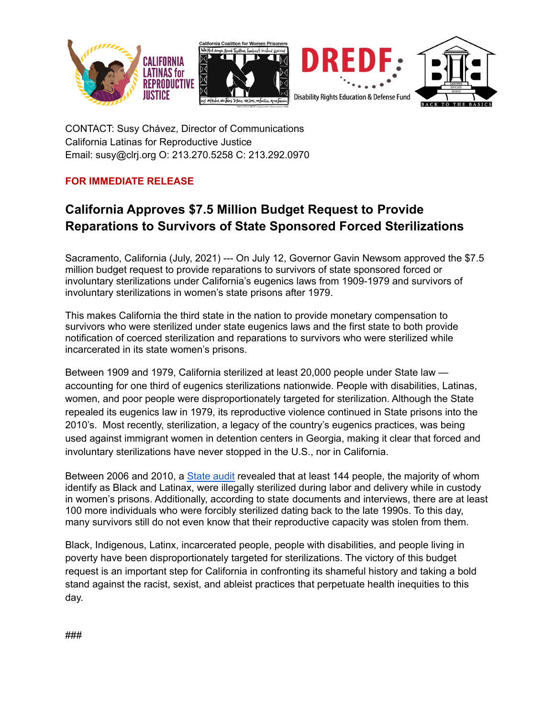



CONTACT: Susy Chávez, Director of Communications California Latinas for Reproductive Justice Email: susy@clrj.org O: 213.270.5258 C: 213.292.0970

## **FOR IMMEDIATE RELEASE**

## **California Approves \$7.5 Million Budget Request to Provide Reparations to Survivors of State Sponsored Forced Sterilizations**

Sacramento, California (July, 2021) --- On July 12, Governor Gavin Newsom approved the \$7.5 million budget request to provide reparations to survivors of state sponsored forced or involuntary sterilizations under California's eugenics laws from 1909-1979 and survivors of involuntary sterilizations in women's state prisons after 1979.

This makes California the third state in the nation to provide monetary compensation to survivors who were sterilized under state eugenics laws and the first state to both provide notification of coerced sterilization and reparations to survivors who were sterilized while incarcerated in its state women's prisons.

Between 1909 and 1979, California sterilized at least 20,000 people under State law accounting for one third of eugenics sterilizations nationwide. People with disabilities, Latinas, women, and poor people were disproportionately targeted for sterilization. Although the State repealed its eugenics law in 1979, its reproductive violence continued in State prisons into the 2010's. Most recently, sterilization, a legacy of the country's eugenics practices, was being used against immigrant women in detention centers in Georgia, making it clear that forced and involuntary sterilizations have never stopped in the U.S., nor in California.

Between 2006 and 2010, a [State](https://www.auditor.ca.gov/pdfs/reports/2013-120.pdf) audit revealed that at least 144 people, the majority of whom identify as Black and Latinax, were illegally sterilized during labor and delivery while in custody in women's prisons. Additionally, according to state documents and interviews, there are at least 100 more individuals who were forcibly sterilized dating back to the late 1990s. To this day, many survivors still do not even know that their reproductive capacity was stolen from them.

Black, Indigenous, Latinx, incarcerated people, people with disabilities, and people living in poverty have been disproportionately targeted for sterilizations. The victory of this budget request is an important step for California in confronting its shameful history and taking a bold stand against the racist, sexist, and ableist practices that perpetuate health inequities to this day.